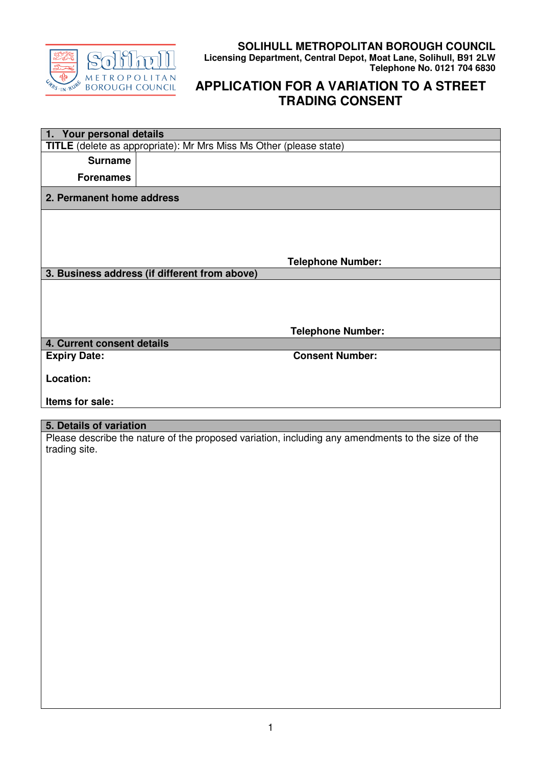

## **SOLIHULL METROPOLITAN BOROUGH COUNCIL Licensing Department, Central Depot, Moat Lane, Solihull, B91 2LW Telephone No. 0121 704 6830**

## **APPLICATION FOR A VARIATION TO A STREET TRADING CONSENT**

|                            | 1. Your personal details                                                                          |  |  |
|----------------------------|---------------------------------------------------------------------------------------------------|--|--|
|                            | TITLE (delete as appropriate): Mr Mrs Miss Ms Other (please state)                                |  |  |
| <b>Surname</b>             |                                                                                                   |  |  |
| <b>Forenames</b>           |                                                                                                   |  |  |
|                            |                                                                                                   |  |  |
| 2. Permanent home address  |                                                                                                   |  |  |
|                            |                                                                                                   |  |  |
|                            |                                                                                                   |  |  |
|                            |                                                                                                   |  |  |
|                            |                                                                                                   |  |  |
|                            | <b>Telephone Number:</b>                                                                          |  |  |
|                            | 3. Business address (if different from above)                                                     |  |  |
|                            |                                                                                                   |  |  |
|                            |                                                                                                   |  |  |
|                            |                                                                                                   |  |  |
|                            |                                                                                                   |  |  |
|                            | <b>Telephone Number:</b>                                                                          |  |  |
| 4. Current consent details |                                                                                                   |  |  |
| <b>Expiry Date:</b>        | <b>Consent Number:</b>                                                                            |  |  |
|                            |                                                                                                   |  |  |
| Location:                  |                                                                                                   |  |  |
|                            |                                                                                                   |  |  |
| Items for sale:            |                                                                                                   |  |  |
|                            |                                                                                                   |  |  |
| 5. Details of variation    |                                                                                                   |  |  |
|                            |                                                                                                   |  |  |
|                            |                                                                                                   |  |  |
|                            | Please describe the nature of the proposed variation, including any amendments to the size of the |  |  |
| trading site.              |                                                                                                   |  |  |
|                            |                                                                                                   |  |  |
|                            |                                                                                                   |  |  |
|                            |                                                                                                   |  |  |
|                            |                                                                                                   |  |  |
|                            |                                                                                                   |  |  |
|                            |                                                                                                   |  |  |
|                            |                                                                                                   |  |  |
|                            |                                                                                                   |  |  |
|                            |                                                                                                   |  |  |
|                            |                                                                                                   |  |  |
|                            |                                                                                                   |  |  |
|                            |                                                                                                   |  |  |
|                            |                                                                                                   |  |  |
|                            |                                                                                                   |  |  |
|                            |                                                                                                   |  |  |
|                            |                                                                                                   |  |  |
|                            |                                                                                                   |  |  |